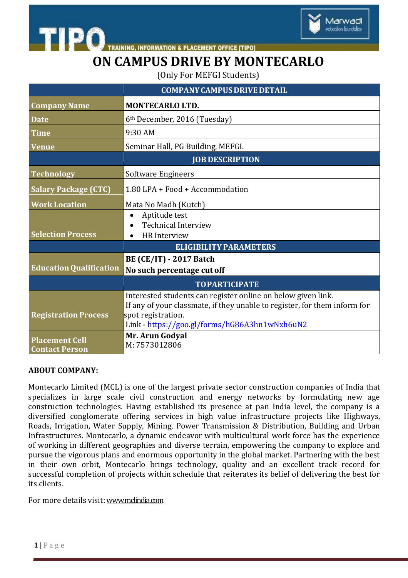

**INFORMATION & PLACEMENT OFFICE [TIPO]** 

# **ON CAMPUS DRIVE BY MONTECARLO**

(Only For MEFGI Students)

|                                                | <b>COMPANY CAMPUS DRIVE DETAIL</b>                                                                                                                                                                               |
|------------------------------------------------|------------------------------------------------------------------------------------------------------------------------------------------------------------------------------------------------------------------|
| <b>Company Name</b>                            | MONTECARLO LTD.                                                                                                                                                                                                  |
| <b>Date</b>                                    | 6 <sup>th</sup> December, 2016 (Tuesday)                                                                                                                                                                         |
| <b>Time</b>                                    | 9:30 AM                                                                                                                                                                                                          |
| <b>Venue</b>                                   | Seminar Hall, PG Building, MEFGI.                                                                                                                                                                                |
|                                                | <b>JOB DESCRIPTION</b>                                                                                                                                                                                           |
| <b>Technology</b>                              | <b>Software Engineers</b>                                                                                                                                                                                        |
| <b>Salary Package (CTC)</b>                    | 1.80 LPA + Food + Accommodation                                                                                                                                                                                  |
| <b>Work Location</b>                           | Mata No Madh (Kutch)                                                                                                                                                                                             |
| <b>Selection Process</b>                       | Aptitude test<br>$\bullet$<br><b>Technical Interview</b><br><b>HR</b> Interview                                                                                                                                  |
|                                                | <b>ELIGIBILITY PARAMETERS</b>                                                                                                                                                                                    |
| <b>Education Qualification</b>                 | <b>BE (CE/IT) - 2017 Batch</b><br>No such percentage cut off                                                                                                                                                     |
|                                                | <b>TOPARTICIPATE</b>                                                                                                                                                                                             |
| <b>Registration Process</b>                    | Interested students can register online on below given link.<br>If any of your classmate, if they unable to register, for them inform for<br>spot registration.<br>Link - https://goo.gl/forms/hG86A3hn1wNxh6uN2 |
| <b>Placement Cell</b><br><b>Contact Person</b> | Mr. Arun Godyal<br>M: 7573012806                                                                                                                                                                                 |

#### **ABOUT COMPANY:**

**STIPO** 

Montecarlo Limited (MCL) is one of the largest private sector construction companies of India that specializes in large scale civil construction and energy networks by formulating new age construction technologies. Having established its presence at pan India level, the company is a diversified conglomerate offering services in high value infrastructure projects like Highways, Roads, Irrigation, Water Supply, Mining, Power Transmission & Distribution, Building and Urban Infrastructures. Montecarlo, a dynamic endeavor with multicultural work force has the experience of working in different geographies and diverse terrain, empowering the company to explore and pursue the vigorous plans and enormous opportunity in the global market. Partnering with the best in their own orbit, Montecarlo brings technology, quality and an excellent track record for successful completion of projects within schedule that reiterates its belief of delivering the best for its clients.

For more details visit[:www.mclindia.com](file:///C:\Users\Marwadi%20PG\Desktop\www.mclindia.com)